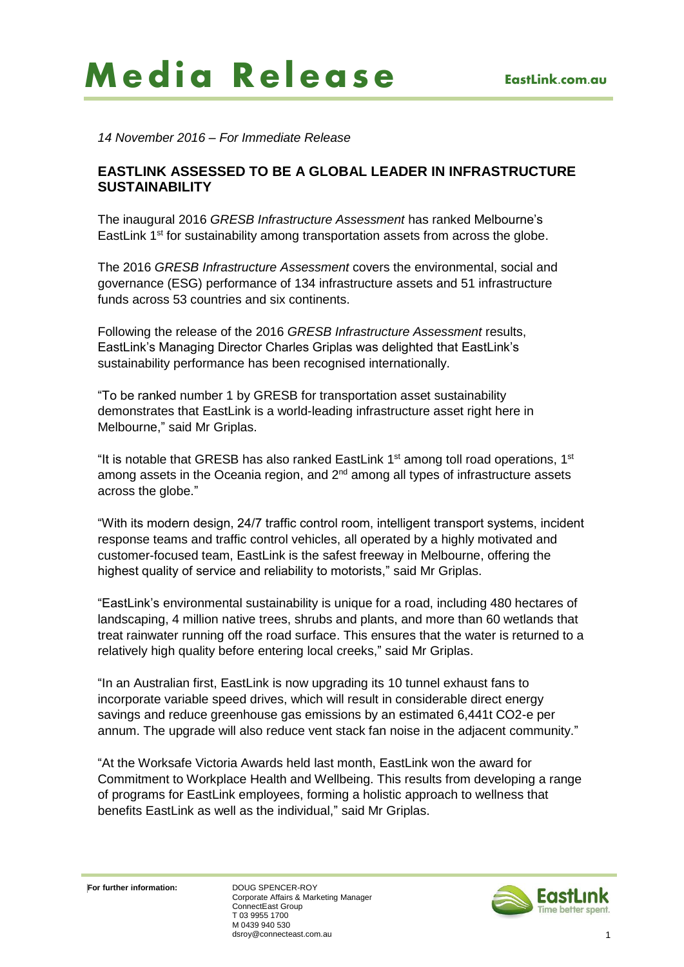## **Media Release EastLink.com.au**

*14 November 2016 – For Immediate Release*

## **EASTLINK ASSESSED TO BE A GLOBAL LEADER IN INFRASTRUCTURE SUSTAINABILITY**

The inaugural 2016 *GRESB Infrastructure Assessment* has ranked Melbourne's EastLink 1<sup>st</sup> for sustainability among transportation assets from across the globe.

The 2016 *GRESB Infrastructure Assessment* covers the environmental, social and governance (ESG) performance of 134 infrastructure assets and 51 infrastructure funds across 53 countries and six continents.

Following the release of the 2016 *GRESB Infrastructure Assessment* results, EastLink's Managing Director Charles Griplas was delighted that EastLink's sustainability performance has been recognised internationally.

"To be ranked number 1 by GRESB for transportation asset sustainability demonstrates that EastLink is a world-leading infrastructure asset right here in Melbourne," said Mr Griplas.

"It is notable that GRESB has also ranked EastLink  $1<sup>st</sup>$  among toll road operations,  $1<sup>st</sup>$ among assets in the Oceania region, and  $2<sup>nd</sup>$  among all types of infrastructure assets across the globe."

"With its modern design, 24/7 traffic control room, intelligent transport systems, incident response teams and traffic control vehicles, all operated by a highly motivated and customer-focused team, EastLink is the safest freeway in Melbourne, offering the highest quality of service and reliability to motorists," said Mr Griplas.

"EastLink's environmental sustainability is unique for a road, including 480 hectares of landscaping, 4 million native trees, shrubs and plants, and more than 60 wetlands that treat rainwater running off the road surface. This ensures that the water is returned to a relatively high quality before entering local creeks," said Mr Griplas.

"In an Australian first, EastLink is now upgrading its 10 tunnel exhaust fans to incorporate variable speed drives, which will result in considerable direct energy savings and reduce greenhouse gas emissions by an estimated 6,441t CO2-e per annum. The upgrade will also reduce vent stack fan noise in the adjacent community."

"At the Worksafe Victoria Awards held last month, EastLink won the award for Commitment to Workplace Health and Wellbeing. This results from developing a range of programs for EastLink employees, forming a holistic approach to wellness that benefits EastLink as well as the individual," said Mr Griplas.

Corporate Affairs & Marketing Manager ConnectEast Group T 03 9955 1700 M 0439 940 530 dsroy@connecteast.com.au 1